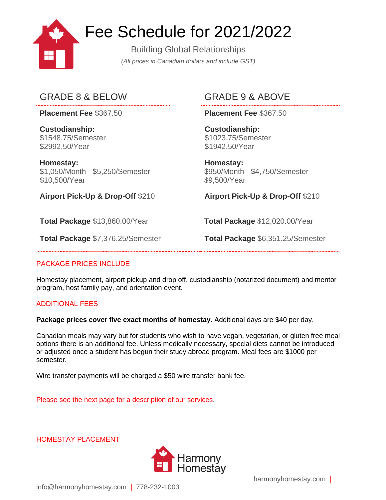

# Fee Schedule for 2021/2022

Building Global Relationships *(All prices in Canadian dollars and include GST)*

## GRADE 8 & BELOW GRADE 9 & ABOVE

**Placement Fee** \$367.50 **Placement Fee** \$367.50

**Custodianship:** \$1548.75/Semester \$2992.50/Year

**Homestay:** \$1,050/Month - \$5,250/Semester \$10,500/Year

**Airport Pick-Up & Drop-Off** \$210 **Airport Pick-Up & Drop-Off** \$210

**Total Package** \$13,860.00/Year **Total Package** \$12,020.00/Year

**Custodianship:** \$1023.75/Semester \$1942.50/Year

**Homestay:** \$950/Month - \$4,750/Semester \$9,500/Year

**Total Package** \$7,376.25/Semester **Total Package** \$6,351.25/Semester

### PACKAGE PRICES INCLUDE

Homestay placement, airport pickup and drop off, custodianship (notarized document) and mentor program, host family pay, and orientation event.

### ADDITIONAL FEES

**Package prices cover five exact months of homestay**. Additional days are \$40 per day.

Canadian meals may vary but for students who wish to have vegan, vegetarian, or gluten free meal options there is an additional fee. Unless medically necessary, special diets cannot be introduced or adjusted once a student has begun their study abroad program. Meal fees are \$1000 per semester.

Wire transfer payments will be charged a \$50 wire transfer bank fee.

Please see the next page for a description of our services.

HOMESTAY PLACEMENT



info@harmonyhomestay.com | 778-232-1003

harmonyhomestay.com |